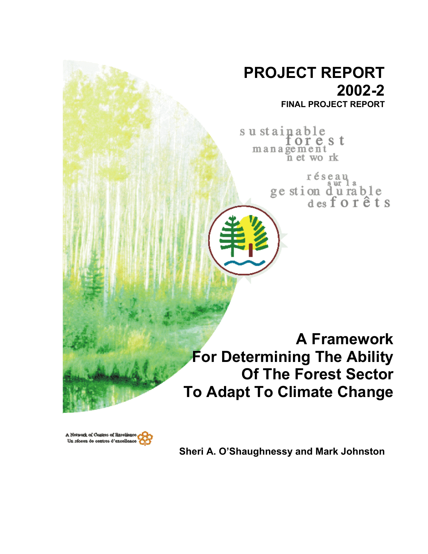# **PROJECT REPORT 2002-2 FINAL PROJECT REPORT**

sustainable orest  $m$  a n a  $\widetilde{g}$  e  $m$  e  $n$  t wo rk

> réseau ge stion du rable<br>desforêts

**A Framework For Determining The Ability Of The Forest Sector To Adapt To Climate Change**



**Sheri A. O'Shaughnessy and Mark Johnston**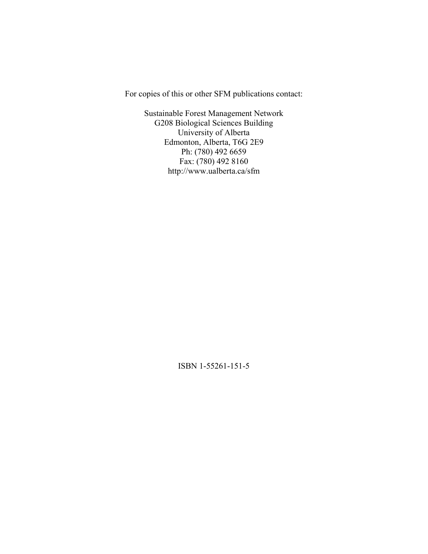For copies of this or other SFM publications contact:

Sustainable Forest Management Network G208 Biological Sciences Building University of Alberta Edmonton, Alberta, T6G 2E9 Ph: (780) 492 6659 Fax: (780) 492 8160 http://www.ualberta.ca/sfm

ISBN 1-55261-151-5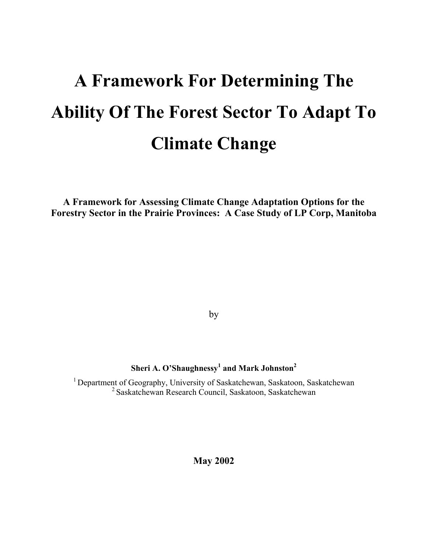# **A Framework For Determining The Ability Of The Forest Sector To Adapt To Climate Change**

**A Framework for Assessing Climate Change Adaptation Options for the Forestry Sector in the Prairie Provinces: A Case Study of LP Corp, Manitoba** 

by

# **Sheri A. O'Shaughnessy<sup>1</sup> and Mark Johnston<sup>2</sup>**

<sup>1</sup> Department of Geography, University of Saskatchewan, Saskatoon, Saskatchewan 2 Saskatchewan Research Council, Saskatoon, Saskatchewan

**May 2002**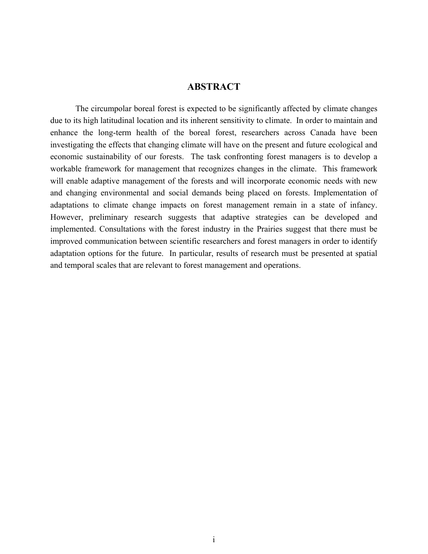# **ABSTRACT**

The circumpolar boreal forest is expected to be significantly affected by climate changes due to its high latitudinal location and its inherent sensitivity to climate. In order to maintain and enhance the long-term health of the boreal forest, researchers across Canada have been investigating the effects that changing climate will have on the present and future ecological and economic sustainability of our forests. The task confronting forest managers is to develop a workable framework for management that recognizes changes in the climate. This framework will enable adaptive management of the forests and will incorporate economic needs with new and changing environmental and social demands being placed on forests. Implementation of adaptations to climate change impacts on forest management remain in a state of infancy. However, preliminary research suggests that adaptive strategies can be developed and implemented. Consultations with the forest industry in the Prairies suggest that there must be improved communication between scientific researchers and forest managers in order to identify adaptation options for the future. In particular, results of research must be presented at spatial and temporal scales that are relevant to forest management and operations.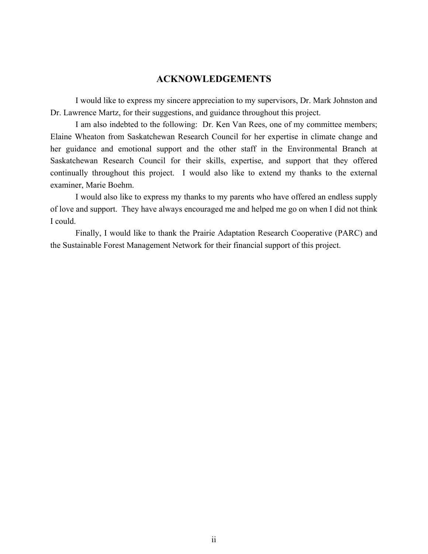# **ACKNOWLEDGEMENTS**

I would like to express my sincere appreciation to my supervisors, Dr. Mark Johnston and Dr. Lawrence Martz, for their suggestions, and guidance throughout this project.

I am also indebted to the following: Dr. Ken Van Rees, one of my committee members; Elaine Wheaton from Saskatchewan Research Council for her expertise in climate change and her guidance and emotional support and the other staff in the Environmental Branch at Saskatchewan Research Council for their skills, expertise, and support that they offered continually throughout this project. I would also like to extend my thanks to the external examiner, Marie Boehm.

I would also like to express my thanks to my parents who have offered an endless supply of love and support. They have always encouraged me and helped me go on when I did not think I could.

Finally, I would like to thank the Prairie Adaptation Research Cooperative (PARC) and the Sustainable Forest Management Network for their financial support of this project.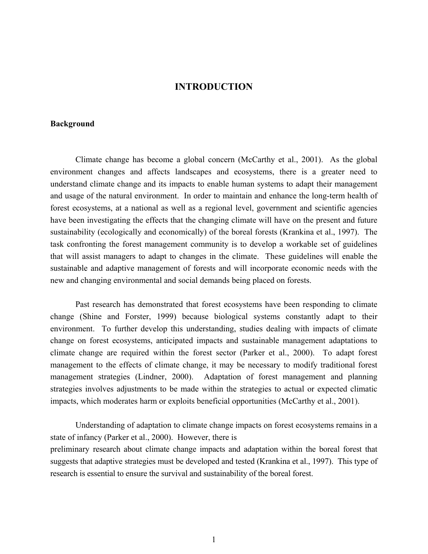# **INTRODUCTION**

#### **Background**

Climate change has become a global concern (McCarthy et al., 2001). As the global environment changes and affects landscapes and ecosystems, there is a greater need to understand climate change and its impacts to enable human systems to adapt their management and usage of the natural environment. In order to maintain and enhance the long-term health of forest ecosystems, at a national as well as a regional level, government and scientific agencies have been investigating the effects that the changing climate will have on the present and future sustainability (ecologically and economically) of the boreal forests (Krankina et al., 1997). The task confronting the forest management community is to develop a workable set of guidelines that will assist managers to adapt to changes in the climate. These guidelines will enable the sustainable and adaptive management of forests and will incorporate economic needs with the new and changing environmental and social demands being placed on forests.

Past research has demonstrated that forest ecosystems have been responding to climate change (Shine and Forster, 1999) because biological systems constantly adapt to their environment. To further develop this understanding, studies dealing with impacts of climate change on forest ecosystems, anticipated impacts and sustainable management adaptations to climate change are required within the forest sector (Parker et al., 2000). To adapt forest management to the effects of climate change, it may be necessary to modify traditional forest management strategies (Lindner, 2000). Adaptation of forest management and planning strategies involves adjustments to be made within the strategies to actual or expected climatic impacts, which moderates harm or exploits beneficial opportunities (McCarthy et al., 2001).

Understanding of adaptation to climate change impacts on forest ecosystems remains in a state of infancy (Parker et al., 2000). However, there is preliminary research about climate change impacts and adaptation within the boreal forest that suggests that adaptive strategies must be developed and tested (Krankina et al., 1997). This type of research is essential to ensure the survival and sustainability of the boreal forest.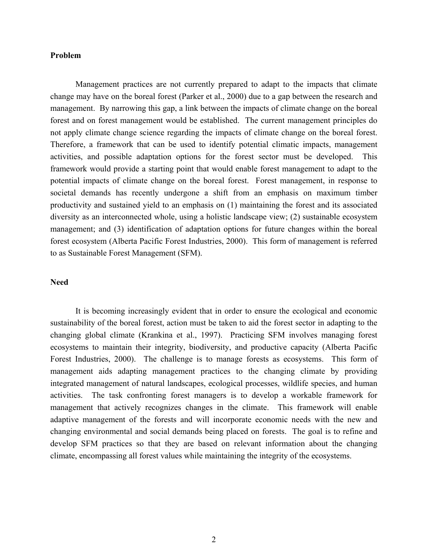#### **Problem**

Management practices are not currently prepared to adapt to the impacts that climate change may have on the boreal forest (Parker et al., 2000) due to a gap between the research and management. By narrowing this gap, a link between the impacts of climate change on the boreal forest and on forest management would be established. The current management principles do not apply climate change science regarding the impacts of climate change on the boreal forest. Therefore, a framework that can be used to identify potential climatic impacts, management activities, and possible adaptation options for the forest sector must be developed. This framework would provide a starting point that would enable forest management to adapt to the potential impacts of climate change on the boreal forest. Forest management, in response to societal demands has recently undergone a shift from an emphasis on maximum timber productivity and sustained yield to an emphasis on (1) maintaining the forest and its associated diversity as an interconnected whole, using a holistic landscape view; (2) sustainable ecosystem management; and (3) identification of adaptation options for future changes within the boreal forest ecosystem (Alberta Pacific Forest Industries, 2000). This form of management is referred to as Sustainable Forest Management (SFM).

# **Need**

It is becoming increasingly evident that in order to ensure the ecological and economic sustainability of the boreal forest, action must be taken to aid the forest sector in adapting to the changing global climate (Krankina et al., 1997). Practicing SFM involves managing forest ecosystems to maintain their integrity, biodiversity, and productive capacity (Alberta Pacific Forest Industries, 2000). The challenge is to manage forests as ecosystems. This form of management aids adapting management practices to the changing climate by providing integrated management of natural landscapes, ecological processes, wildlife species, and human activities. The task confronting forest managers is to develop a workable framework for management that actively recognizes changes in the climate. This framework will enable adaptive management of the forests and will incorporate economic needs with the new and changing environmental and social demands being placed on forests. The goal is to refine and develop SFM practices so that they are based on relevant information about the changing climate, encompassing all forest values while maintaining the integrity of the ecosystems.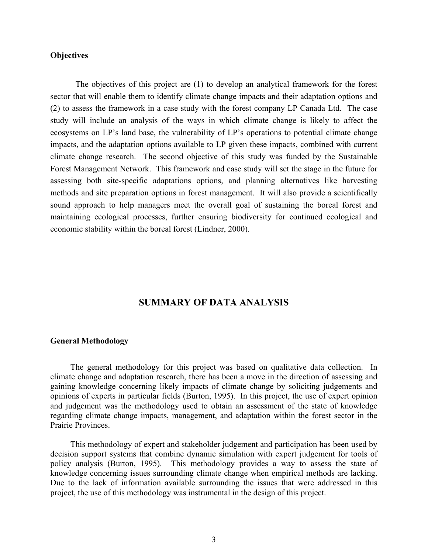## **Objectives**

The objectives of this project are (1) to develop an analytical framework for the forest sector that will enable them to identify climate change impacts and their adaptation options and (2) to assess the framework in a case study with the forest company LP Canada Ltd. The case study will include an analysis of the ways in which climate change is likely to affect the ecosystems on LP's land base, the vulnerability of LP's operations to potential climate change impacts, and the adaptation options available to LP given these impacts, combined with current climate change research. The second objective of this study was funded by the Sustainable Forest Management Network. This framework and case study will set the stage in the future for assessing both site-specific adaptations options, and planning alternatives like harvesting methods and site preparation options in forest management. It will also provide a scientifically sound approach to help managers meet the overall goal of sustaining the boreal forest and maintaining ecological processes, further ensuring biodiversity for continued ecological and economic stability within the boreal forest (Lindner, 2000).

# **SUMMARY OF DATA ANALYSIS**

#### **General Methodology**

The general methodology for this project was based on qualitative data collection. In climate change and adaptation research, there has been a move in the direction of assessing and gaining knowledge concerning likely impacts of climate change by soliciting judgements and opinions of experts in particular fields (Burton, 1995). In this project, the use of expert opinion and judgement was the methodology used to obtain an assessment of the state of knowledge regarding climate change impacts, management, and adaptation within the forest sector in the Prairie Provinces.

This methodology of expert and stakeholder judgement and participation has been used by decision support systems that combine dynamic simulation with expert judgement for tools of policy analysis (Burton, 1995). This methodology provides a way to assess the state of knowledge concerning issues surrounding climate change when empirical methods are lacking. Due to the lack of information available surrounding the issues that were addressed in this project, the use of this methodology was instrumental in the design of this project.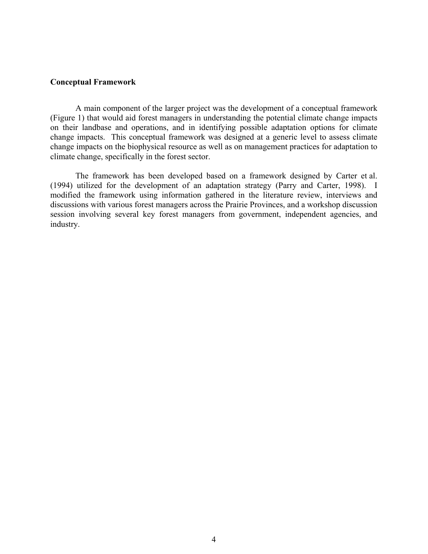#### **Conceptual Framework**

A main component of the larger project was the development of a conceptual framework (Figure 1) that would aid forest managers in understanding the potential climate change impacts on their landbase and operations, and in identifying possible adaptation options for climate change impacts. This conceptual framework was designed at a generic level to assess climate change impacts on the biophysical resource as well as on management practices for adaptation to climate change, specifically in the forest sector.

The framework has been developed based on a framework designed by Carter et al. (1994) utilized for the development of an adaptation strategy (Parry and Carter, 1998). I modified the framework using information gathered in the literature review, interviews and discussions with various forest managers across the Prairie Provinces, and a workshop discussion session involving several key forest managers from government, independent agencies, and industry.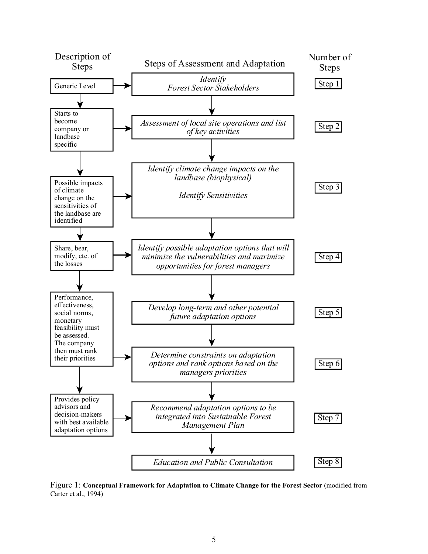

Figure 1: **Conceptual Framework for Adaptation to Climate Change for the Forest Sector** (modified from Carter et al., 1994)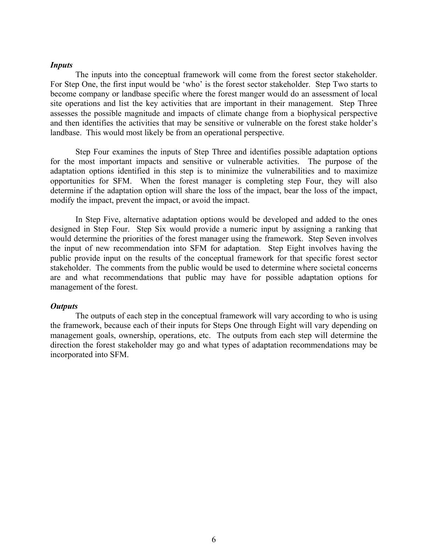#### *Inputs*

The inputs into the conceptual framework will come from the forest sector stakeholder. For Step One, the first input would be 'who' is the forest sector stakeholder. Step Two starts to become company or landbase specific where the forest manger would do an assessment of local site operations and list the key activities that are important in their management. Step Three assesses the possible magnitude and impacts of climate change from a biophysical perspective and then identifies the activities that may be sensitive or vulnerable on the forest stake holder's landbase. This would most likely be from an operational perspective.

Step Four examines the inputs of Step Three and identifies possible adaptation options for the most important impacts and sensitive or vulnerable activities. The purpose of the adaptation options identified in this step is to minimize the vulnerabilities and to maximize opportunities for SFM. When the forest manager is completing step Four, they will also determine if the adaptation option will share the loss of the impact, bear the loss of the impact, modify the impact, prevent the impact, or avoid the impact.

In Step Five, alternative adaptation options would be developed and added to the ones designed in Step Four. Step Six would provide a numeric input by assigning a ranking that would determine the priorities of the forest manager using the framework. Step Seven involves the input of new recommendation into SFM for adaptation. Step Eight involves having the public provide input on the results of the conceptual framework for that specific forest sector stakeholder. The comments from the public would be used to determine where societal concerns are and what recommendations that public may have for possible adaptation options for management of the forest.

#### *Outputs*

The outputs of each step in the conceptual framework will vary according to who is using the framework, because each of their inputs for Steps One through Eight will vary depending on management goals, ownership, operations, etc. The outputs from each step will determine the direction the forest stakeholder may go and what types of adaptation recommendations may be incorporated into SFM.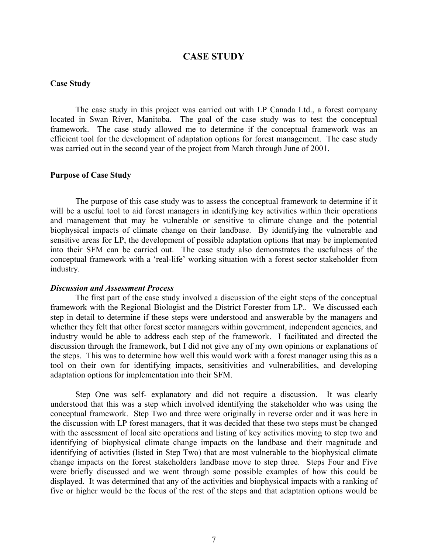# **CASE STUDY**

#### **Case Study**

The case study in this project was carried out with LP Canada Ltd., a forest company located in Swan River, Manitoba. The goal of the case study was to test the conceptual framework. The case study allowed me to determine if the conceptual framework was an efficient tool for the development of adaptation options for forest management. The case study was carried out in the second year of the project from March through June of 2001.

#### **Purpose of Case Study**

The purpose of this case study was to assess the conceptual framework to determine if it will be a useful tool to aid forest managers in identifying key activities within their operations and management that may be vulnerable or sensitive to climate change and the potential biophysical impacts of climate change on their landbase. By identifying the vulnerable and sensitive areas for LP, the development of possible adaptation options that may be implemented into their SFM can be carried out. The case study also demonstrates the usefulness of the conceptual framework with a 'real-life' working situation with a forest sector stakeholder from industry.

#### *Discussion and Assessment Process*

The first part of the case study involved a discussion of the eight steps of the conceptual framework with the Regional Biologist and the District Forester from LP.. We discussed each step in detail to determine if these steps were understood and answerable by the managers and whether they felt that other forest sector managers within government, independent agencies, and industry would be able to address each step of the framework. I facilitated and directed the discussion through the framework, but I did not give any of my own opinions or explanations of the steps. This was to determine how well this would work with a forest manager using this as a tool on their own for identifying impacts, sensitivities and vulnerabilities, and developing adaptation options for implementation into their SFM.

Step One was self- explanatory and did not require a discussion. It was clearly understood that this was a step which involved identifying the stakeholder who was using the conceptual framework. Step Two and three were originally in reverse order and it was here in the discussion with LP forest managers, that it was decided that these two steps must be changed with the assessment of local site operations and listing of key activities moving to step two and identifying of biophysical climate change impacts on the landbase and their magnitude and identifying of activities (listed in Step Two) that are most vulnerable to the biophysical climate change impacts on the forest stakeholders landbase move to step three. Steps Four and Five were briefly discussed and we went through some possible examples of how this could be displayed. It was determined that any of the activities and biophysical impacts with a ranking of five or higher would be the focus of the rest of the steps and that adaptation options would be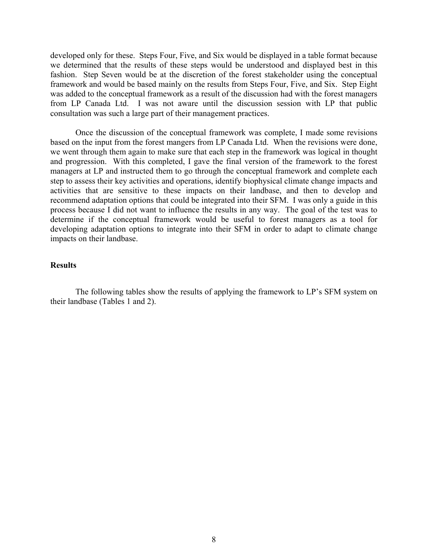developed only for these. Steps Four, Five, and Six would be displayed in a table format because we determined that the results of these steps would be understood and displayed best in this fashion. Step Seven would be at the discretion of the forest stakeholder using the conceptual framework and would be based mainly on the results from Steps Four, Five, and Six. Step Eight was added to the conceptual framework as a result of the discussion had with the forest managers from LP Canada Ltd. I was not aware until the discussion session with LP that public consultation was such a large part of their management practices.

Once the discussion of the conceptual framework was complete, I made some revisions based on the input from the forest mangers from LP Canada Ltd. When the revisions were done, we went through them again to make sure that each step in the framework was logical in thought and progression. With this completed, I gave the final version of the framework to the forest managers at LP and instructed them to go through the conceptual framework and complete each step to assess their key activities and operations, identify biophysical climate change impacts and activities that are sensitive to these impacts on their landbase, and then to develop and recommend adaptation options that could be integrated into their SFM. I was only a guide in this process because I did not want to influence the results in any way. The goal of the test was to determine if the conceptual framework would be useful to forest managers as a tool for developing adaptation options to integrate into their SFM in order to adapt to climate change impacts on their landbase.

# **Results**

The following tables show the results of applying the framework to LP's SFM system on their landbase (Tables 1 and 2).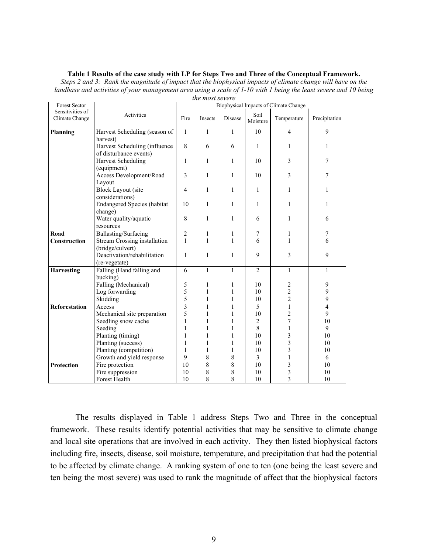#### **Table 1 Results of the case study with LP for Steps Two and Three of the Conceptual Framework.**

*Steps 2 and 3: Rank the magnitude of impact that the biophysical impacts of climate change will have on the landbase and activities of your management area using a scale of 1-10 with 1 being the least severe and 10 being the most severe* 

| Forest Sector        |                                     | inc most screic<br>Biophysical Impacts of Climate Change |                |                |                  |                          |                |  |
|----------------------|-------------------------------------|----------------------------------------------------------|----------------|----------------|------------------|--------------------------|----------------|--|
| Sensitivities of     |                                     |                                                          |                |                |                  |                          |                |  |
| Climate Change       | Activities                          | Fire                                                     | Insects        | Disease        | Soil<br>Moisture | Temperature              | Precipitation  |  |
| Planning             | Harvest Scheduling (season of       | $\mathbf{1}$                                             | 1              | $\mathbf{1}$   | 10               | $\overline{\mathcal{L}}$ | 9              |  |
|                      | harvest)                            |                                                          |                |                |                  |                          |                |  |
|                      | Harvest Scheduling (influence       | 8                                                        | 6              | 6              | 1                | 1                        | 1              |  |
|                      | of disturbance events)              |                                                          |                |                |                  |                          |                |  |
|                      | <b>Harvest Scheduling</b>           | 1                                                        | 1              | 1              | 10               | 3                        | 7              |  |
|                      | (equipment)                         | 3                                                        |                |                |                  |                          |                |  |
|                      | Access Development/Road             |                                                          | 1              | 1              | 10               | 3                        | 7              |  |
|                      | Layout                              |                                                          |                |                |                  |                          |                |  |
|                      | <b>Block Layout (site</b>           | 4                                                        | 1              | 1              | 1                | 1                        | 1              |  |
|                      | considerations)                     | 10                                                       |                |                |                  |                          |                |  |
|                      | <b>Endangered Species (habitat</b>  |                                                          | $\mathbf{1}$   | $\mathbf{1}$   | 1                | 1                        | 1              |  |
|                      | change)                             |                                                          |                |                |                  |                          |                |  |
|                      | Water quality/aquatic               | 8                                                        | 1              | $\mathbf{1}$   | 6                | $\mathbf{1}$             | 6              |  |
|                      | resources                           |                                                          |                |                |                  |                          |                |  |
| Road                 | Ballasting/Surfacing                | $\overline{2}$                                           | $\mathbf{1}$   | $\mathbf{1}$   | 7                | $\mathbf{1}$             | 7              |  |
| Construction         | <b>Stream Crossing installation</b> | $\mathbf{1}$                                             | $\mathbf{1}$   | 1              | 6                | $\mathbf{1}$             | 6              |  |
|                      | (bridge/culvert)                    |                                                          |                |                |                  |                          |                |  |
|                      | Deactivation/rehabilitation         | 1                                                        | 1              | 1              | 9                | 3                        | 9              |  |
|                      | (re-vegetate)                       |                                                          |                |                |                  |                          |                |  |
| <b>Harvesting</b>    | Falling (Hand falling and           | 6                                                        | 1              | $\mathbf{1}$   | $\overline{2}$   | 1                        | 1              |  |
|                      | bucking)                            |                                                          |                |                |                  |                          |                |  |
|                      | Falling (Mechanical)                | 5                                                        | 1              | 1              | 10               | 2                        | 9              |  |
|                      | Log forwarding                      | 5                                                        | 1              | 1              | 10               | $\overline{\mathbf{c}}$  | 9              |  |
|                      | Skidding                            | 5                                                        | $\mathbf{1}$   | $\mathbf{1}$   | 10               | $\overline{c}$           | 9              |  |
| <b>Reforestation</b> | Access                              | $\overline{\mathbf{3}}$                                  | $\mathbf{1}$   | $\mathbf{1}$   | 5                | $\mathbf{1}$             | $\overline{4}$ |  |
|                      | Mechanical site preparation         | 5                                                        | 1              | 1              | 10               | $\overline{c}$           | 9              |  |
|                      | Seedling snow cache                 | $\,1$                                                    | $\mathbf{1}$   | $\mathbf{1}$   | $\overline{c}$   | 7                        | 10             |  |
|                      | Seeding                             | $\mathbf{1}$                                             | 1              | 1              | 8                | $\mathbf{1}$             | 9              |  |
|                      | Planting (timing)                   | 1                                                        | 1              | 1              | 10               | 3                        | 10             |  |
|                      | Planting (success)                  | 1                                                        | 1              | 1              | 10               | 3                        | 10             |  |
|                      | Planting (competition)              | 1                                                        | 1              | 1              | 10               | 3                        | 10             |  |
|                      | Growth and yield response           | 9                                                        | 8              | 8              | 3                | $\mathbf{1}$             | 6              |  |
| <b>Protection</b>    | Fire protection                     | 10                                                       | $\overline{8}$ | $\overline{8}$ | 10               | $\overline{\mathbf{3}}$  | 10             |  |
|                      | Fire suppression                    | 10                                                       | 8              | 8              | 10               | 3                        | 10             |  |
|                      | Forest Health                       | 10                                                       | 8              | 8              | 10               | $\overline{\mathbf{3}}$  | 10             |  |

The results displayed in Table 1 address Steps Two and Three in the conceptual framework. These results identify potential activities that may be sensitive to climate change and local site operations that are involved in each activity. They then listed biophysical factors including fire, insects, disease, soil moisture, temperature, and precipitation that had the potential to be affected by climate change. A ranking system of one to ten (one being the least severe and ten being the most severe) was used to rank the magnitude of affect that the biophysical factors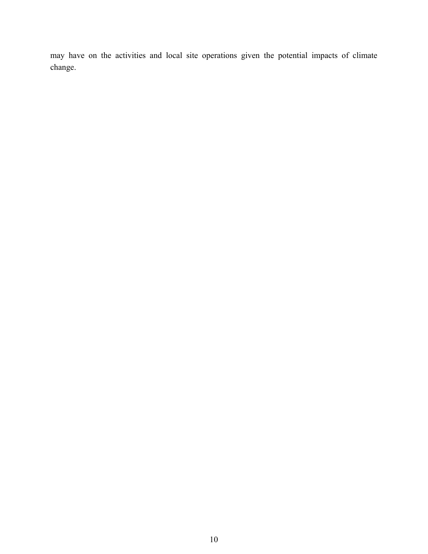may have on the activities and local site operations given the potential impacts of climate change.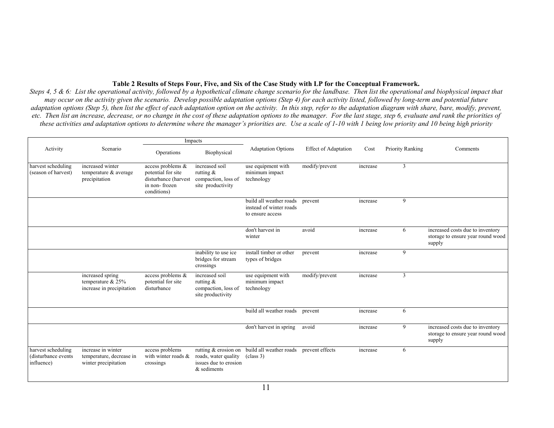#### **Table 2 Results of Steps Four, Five, and Six of the Case Study with LP for the Conceptual Framework.**

*Steps 4, 5 & 6: List the operational activity, followed by a hypothetical climate change scenario for the landbase. Then list the operational and biophysical impact that may occur on the activity given the scenario. Develop possible adaptation options (Step 4) for each activity listed, followed by long-term and potential future adaptation options (Step 5), then list the effect of each adaptation option on the activity. In this step, refer to the adaptation diagram with share, bare, modify, prevent, etc. Then list an increase, decrease, or no change in the cost of these adaptation options to the manager. For the last stage, step 6, evaluate and rank the priorities of these activities and adaptation options to determine where the manager's priorities are. Use a scale of 1-10 with 1 being low priority and 10 being high priority*

| Impacts                                                 |                                                                        |                                                                                                 |                                                                            |                                                                        |                             |          |                         |                                                                                 |
|---------------------------------------------------------|------------------------------------------------------------------------|-------------------------------------------------------------------------------------------------|----------------------------------------------------------------------------|------------------------------------------------------------------------|-----------------------------|----------|-------------------------|---------------------------------------------------------------------------------|
| Activity                                                | Scenario                                                               | Operations                                                                                      | Biophysical                                                                | <b>Adaptation Options</b>                                              | <b>Effect of Adaptation</b> | Cost     | <b>Priority Ranking</b> | Comments                                                                        |
| harvest scheduling<br>(season of harvest)               | increased winter<br>temperature & average<br>precipitation             | access problems &<br>potential for site<br>disturbance (harvest<br>in non-frozen<br>conditions) | increased soil<br>rutting $\&$<br>compaction, loss of<br>site productivity | use equipment with<br>minimum impact<br>technology                     | modify/prevent              | increase | 3                       |                                                                                 |
|                                                         |                                                                        |                                                                                                 |                                                                            | build all weather roads<br>instead of winter roads<br>to ensure access | prevent                     | increase | 9                       |                                                                                 |
|                                                         |                                                                        |                                                                                                 |                                                                            | don't harvest in<br>winter                                             | avoid                       | increase | 6                       | increased costs due to inventory<br>storage to ensure year round wood<br>supply |
|                                                         |                                                                        |                                                                                                 | inability to use ice<br>bridges for stream<br>crossings                    | install timber or other<br>types of bridges                            | prevent                     | increase | 9                       |                                                                                 |
|                                                         | increased spring<br>temperature $& 25\%$<br>increase in precipitation  | access problems &<br>potential for site<br>disturbance                                          | increased soil<br>rutting $\&$<br>compaction, loss of<br>site productivity | use equipment with<br>minimum impact<br>technology                     | modify/prevent              | increase | 3                       |                                                                                 |
|                                                         |                                                                        |                                                                                                 |                                                                            | build all weather roads                                                | prevent                     | increase | 6                       |                                                                                 |
|                                                         |                                                                        |                                                                                                 |                                                                            | don't harvest in spring                                                | avoid                       | increase | 9                       | increased costs due to inventory<br>storage to ensure year round wood<br>supply |
| harvest scheduling<br>(disturbance events<br>influence) | increase in winter<br>temperature, decrease in<br>winter precipitation | access problems<br>with winter roads $\&$<br>crossings                                          | roads, water quality<br>issues due to erosion<br>$&$ sediments             | rutting $&$ erosion on build all weather roads<br>class 3)             | prevent effects             | increase | 6                       |                                                                                 |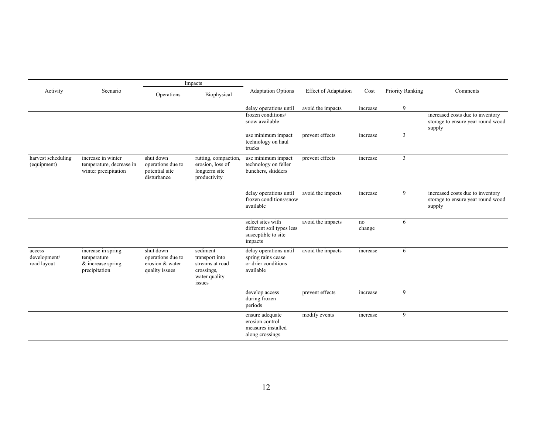|                                       |                                                                           | Impacts                                                             |                                                                                        |                                                                                  |                             |              |                  |                                                                                 |
|---------------------------------------|---------------------------------------------------------------------------|---------------------------------------------------------------------|----------------------------------------------------------------------------------------|----------------------------------------------------------------------------------|-----------------------------|--------------|------------------|---------------------------------------------------------------------------------|
| Activity                              | Scenario                                                                  | Operations                                                          | Biophysical                                                                            | <b>Adaptation Options</b>                                                        | <b>Effect of Adaptation</b> | Cost         | Priority Ranking | Comments                                                                        |
|                                       |                                                                           |                                                                     |                                                                                        | delay operations until                                                           | avoid the impacts           | increase     | 9                |                                                                                 |
|                                       |                                                                           |                                                                     |                                                                                        | frozen conditions/<br>snow available                                             |                             |              |                  | increased costs due to inventory<br>storage to ensure year round wood<br>supply |
|                                       |                                                                           |                                                                     |                                                                                        | use minimum impact<br>technology on haul<br>trucks                               | prevent effects             | increase     | 3                |                                                                                 |
| harvest scheduling<br>(equipment)     | increase in winter<br>temperature, decrease in<br>winter precipitation    | shut down<br>operations due to<br>potential site<br>disturbance     | rutting, compaction,<br>erosion, loss of<br>longterm site<br>productivity              | use minimum impact<br>technology on feller<br>bunchers, skidders                 | prevent effects             | increase     | 3                |                                                                                 |
|                                       |                                                                           |                                                                     |                                                                                        | delay operations until<br>frozen conditions/snow<br>available                    | avoid the impacts           | increase     | 9                | increased costs due to inventory<br>storage to ensure year round wood<br>supply |
|                                       |                                                                           |                                                                     |                                                                                        | select sites with<br>different soil types less<br>susceptible to site<br>impacts | avoid the impacts           | no<br>change | 6                |                                                                                 |
| access<br>development/<br>road layout | increase in spring<br>temperature<br>$&$ increase spring<br>precipitation | shut down<br>operations due to<br>erosion & water<br>quality issues | sediment<br>transport into<br>streams at road<br>crossings,<br>water quality<br>issues | delay operations until<br>spring rains cease<br>or drier conditions<br>available | avoid the impacts           | increase     | 6                |                                                                                 |
|                                       |                                                                           |                                                                     |                                                                                        | develop access<br>during frozen<br>periods                                       | prevent effects             | increase     | 9                |                                                                                 |
|                                       |                                                                           |                                                                     |                                                                                        | ensure adequate<br>erosion control<br>measures installed<br>along crossings      | modify events               | increase     | 9                |                                                                                 |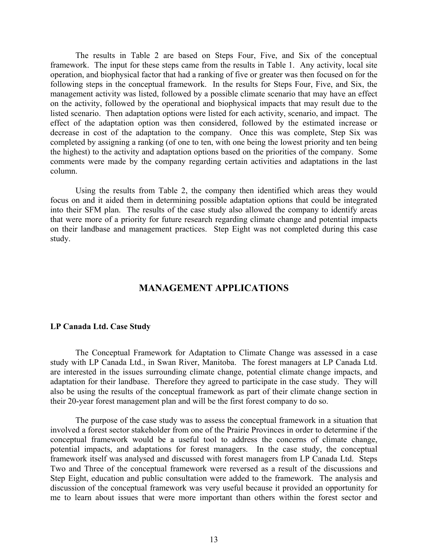The results in Table 2 are based on Steps Four, Five, and Six of the conceptual framework. The input for these steps came from the results in Table 1. Any activity, local site operation, and biophysical factor that had a ranking of five or greater was then focused on for the following steps in the conceptual framework. In the results for Steps Four, Five, and Six, the management activity was listed, followed by a possible climate scenario that may have an effect on the activity, followed by the operational and biophysical impacts that may result due to the listed scenario. Then adaptation options were listed for each activity, scenario, and impact. The effect of the adaptation option was then considered, followed by the estimated increase or decrease in cost of the adaptation to the company. Once this was complete, Step Six was completed by assigning a ranking (of one to ten, with one being the lowest priority and ten being the highest) to the activity and adaptation options based on the priorities of the company. Some comments were made by the company regarding certain activities and adaptations in the last column.

Using the results from Table 2, the company then identified which areas they would focus on and it aided them in determining possible adaptation options that could be integrated into their SFM plan. The results of the case study also allowed the company to identify areas that were more of a priority for future research regarding climate change and potential impacts on their landbase and management practices. Step Eight was not completed during this case study.

# **MANAGEMENT APPLICATIONS**

#### **LP Canada Ltd. Case Study**

The Conceptual Framework for Adaptation to Climate Change was assessed in a case study with LP Canada Ltd., in Swan River, Manitoba. The forest managers at LP Canada Ltd. are interested in the issues surrounding climate change, potential climate change impacts, and adaptation for their landbase. Therefore they agreed to participate in the case study. They will also be using the results of the conceptual framework as part of their climate change section in their 20-year forest management plan and will be the first forest company to do so.

The purpose of the case study was to assess the conceptual framework in a situation that involved a forest sector stakeholder from one of the Prairie Provinces in order to determine if the conceptual framework would be a useful tool to address the concerns of climate change, potential impacts, and adaptations for forest managers. In the case study, the conceptual framework itself was analysed and discussed with forest managers from LP Canada Ltd. Steps Two and Three of the conceptual framework were reversed as a result of the discussions and Step Eight, education and public consultation were added to the framework. The analysis and discussion of the conceptual framework was very useful because it provided an opportunity for me to learn about issues that were more important than others within the forest sector and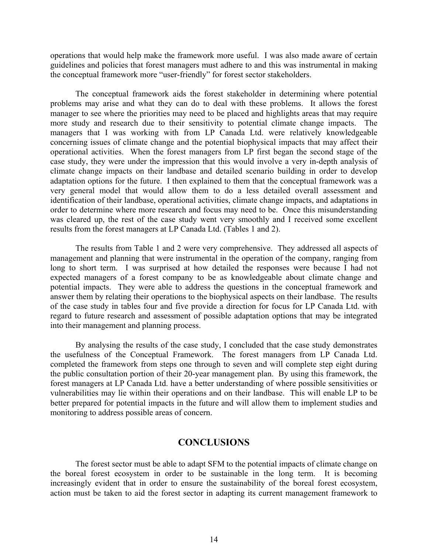operations that would help make the framework more useful. I was also made aware of certain guidelines and policies that forest managers must adhere to and this was instrumental in making the conceptual framework more "user-friendly" for forest sector stakeholders.

The conceptual framework aids the forest stakeholder in determining where potential problems may arise and what they can do to deal with these problems. It allows the forest manager to see where the priorities may need to be placed and highlights areas that may require more study and research due to their sensitivity to potential climate change impacts. The managers that I was working with from LP Canada Ltd. were relatively knowledgeable concerning issues of climate change and the potential biophysical impacts that may affect their operational activities. When the forest managers from LP first began the second stage of the case study, they were under the impression that this would involve a very in-depth analysis of climate change impacts on their landbase and detailed scenario building in order to develop adaptation options for the future. I then explained to them that the conceptual framework was a very general model that would allow them to do a less detailed overall assessment and identification of their landbase, operational activities, climate change impacts, and adaptations in order to determine where more research and focus may need to be. Once this misunderstanding was cleared up, the rest of the case study went very smoothly and I received some excellent results from the forest managers at LP Canada Ltd. (Tables 1 and 2).

The results from Table 1 and 2 were very comprehensive. They addressed all aspects of management and planning that were instrumental in the operation of the company, ranging from long to short term. I was surprised at how detailed the responses were because I had not expected managers of a forest company to be as knowledgeable about climate change and potential impacts. They were able to address the questions in the conceptual framework and answer them by relating their operations to the biophysical aspects on their landbase. The results of the case study in tables four and five provide a direction for focus for LP Canada Ltd. with regard to future research and assessment of possible adaptation options that may be integrated into their management and planning process.

By analysing the results of the case study, I concluded that the case study demonstrates the usefulness of the Conceptual Framework. The forest managers from LP Canada Ltd. completed the framework from steps one through to seven and will complete step eight during the public consultation portion of their 20-year management plan. By using this framework, the forest managers at LP Canada Ltd. have a better understanding of where possible sensitivities or vulnerabilities may lie within their operations and on their landbase. This will enable LP to be better prepared for potential impacts in the future and will allow them to implement studies and monitoring to address possible areas of concern.

# **CONCLUSIONS**

The forest sector must be able to adapt SFM to the potential impacts of climate change on the boreal forest ecosystem in order to be sustainable in the long term. It is becoming increasingly evident that in order to ensure the sustainability of the boreal forest ecosystem, action must be taken to aid the forest sector in adapting its current management framework to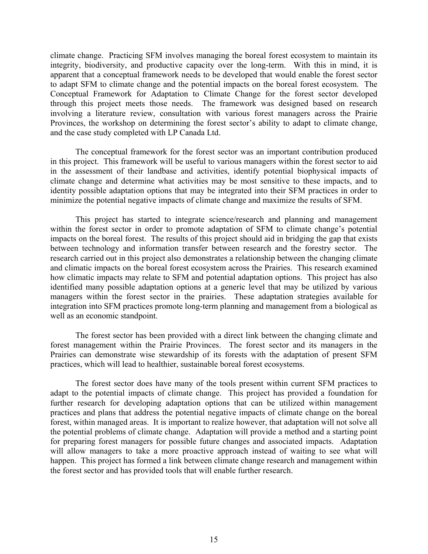climate change. Practicing SFM involves managing the boreal forest ecosystem to maintain its integrity, biodiversity, and productive capacity over the long-term. With this in mind, it is apparent that a conceptual framework needs to be developed that would enable the forest sector to adapt SFM to climate change and the potential impacts on the boreal forest ecosystem. The Conceptual Framework for Adaptation to Climate Change for the forest sector developed through this project meets those needs. The framework was designed based on research involving a literature review, consultation with various forest managers across the Prairie Provinces, the workshop on determining the forest sector's ability to adapt to climate change, and the case study completed with LP Canada Ltd.

The conceptual framework for the forest sector was an important contribution produced in this project. This framework will be useful to various managers within the forest sector to aid in the assessment of their landbase and activities, identify potential biophysical impacts of climate change and determine what activities may be most sensitive to these impacts, and to identity possible adaptation options that may be integrated into their SFM practices in order to minimize the potential negative impacts of climate change and maximize the results of SFM.

This project has started to integrate science/research and planning and management within the forest sector in order to promote adaptation of SFM to climate change's potential impacts on the boreal forest. The results of this project should aid in bridging the gap that exists between technology and information transfer between research and the forestry sector. The research carried out in this project also demonstrates a relationship between the changing climate and climatic impacts on the boreal forest ecosystem across the Prairies. This research examined how climatic impacts may relate to SFM and potential adaptation options. This project has also identified many possible adaptation options at a generic level that may be utilized by various managers within the forest sector in the prairies. These adaptation strategies available for integration into SFM practices promote long-term planning and management from a biological as well as an economic standpoint.

The forest sector has been provided with a direct link between the changing climate and forest management within the Prairie Provinces. The forest sector and its managers in the Prairies can demonstrate wise stewardship of its forests with the adaptation of present SFM practices, which will lead to healthier, sustainable boreal forest ecosystems.

The forest sector does have many of the tools present within current SFM practices to adapt to the potential impacts of climate change. This project has provided a foundation for further research for developing adaptation options that can be utilized within management practices and plans that address the potential negative impacts of climate change on the boreal forest, within managed areas. It is important to realize however, that adaptation will not solve all the potential problems of climate change. Adaptation will provide a method and a starting point for preparing forest managers for possible future changes and associated impacts. Adaptation will allow managers to take a more proactive approach instead of waiting to see what will happen. This project has formed a link between climate change research and management within the forest sector and has provided tools that will enable further research.